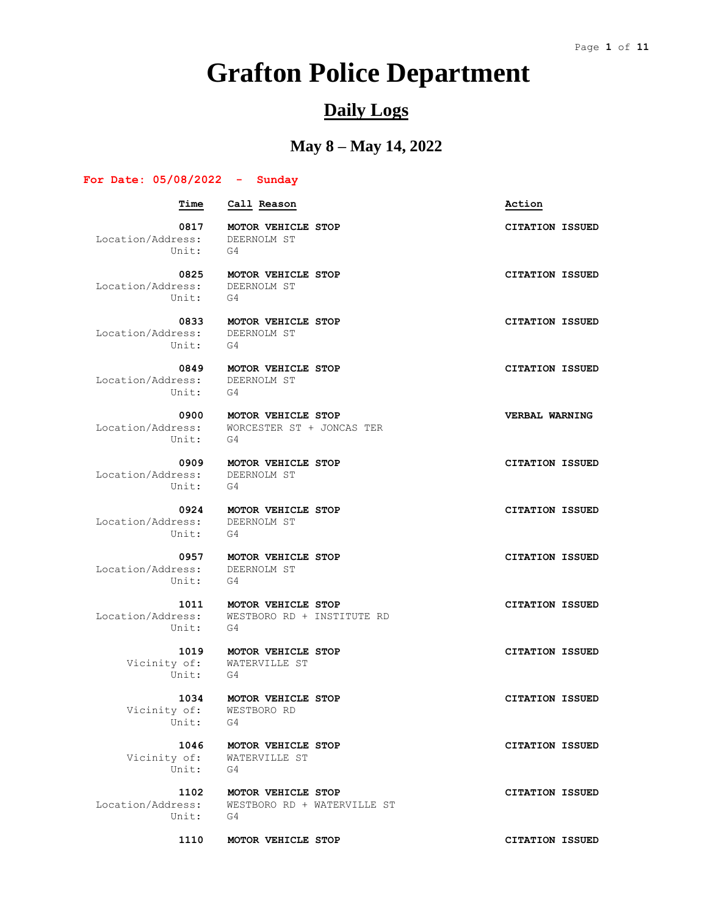# **Grafton Police Department**

## **Daily Logs**

### **May 8 – May 14, 2022**

### **For Date: 05/08/2022 - Sunday**

 **Time Call Reason Action** 0817 **MOTOR VEHICLE STOP CITATION ISSUED**  Location/Address: DEERNOLM ST Unit: G4  **0825 MOTOR VEHICLE STOP CITATION ISSUED** Location/Address: DEERNOLM ST Unit: G4  **0833 MOTOR VEHICLE STOP CITATION ISSUED** Location/Address: DEERNOLM ST Unit: G4  **0849 MOTOR VEHICLE STOP CITATION ISSUED** Location/Address: DEERNOLM ST Unit: G4  **0900 MOTOR VEHICLE STOP VERBAL WARNING** Location/Address: WORCESTER ST + JONCAS TER Unit: G4  **0909 MOTOR VEHICLE STOP CITATION ISSUED**<br> **CONSIDERICATION ST**  Location/Address: DEERNOLM ST Unit: G4  **0924 MOTOR VEHICLE STOP CITATION ISSUED** Location/Address: DEERNOLM ST Unit: G4 0957 **MOTOR VEHICLE STOP CITATION ISSUED**  Location/Address: DEERNOLM ST Unit: G4  **1011 MOTOR VEHICLE STOP CITATION ISSUED** Location/Address: WESTBORO RD + INSTITUTE RD Unit: G4  **1019 MOTOR VEHICLE STOP CITATION ISSUED** Vicinity of: WATERVILLE ST Unit: G4  **1034 MOTOR VEHICLE STOP CITATION ISSUED** Vicinity of: WESTBORO RD Unit: G4  **1046 MOTOR VEHICLE STOP CITATION ISSUED** Vicinity of: WATERVILLE ST Unit: G4  **1102 MOTOR VEHICLE STOP CITATION ISSUED** Location/Address: WESTBORO RD + WATERVILLE ST Location/Address: WES<br>Unit: G4

 **1110 MOTOR VEHICLE STOP CITATION ISSUED**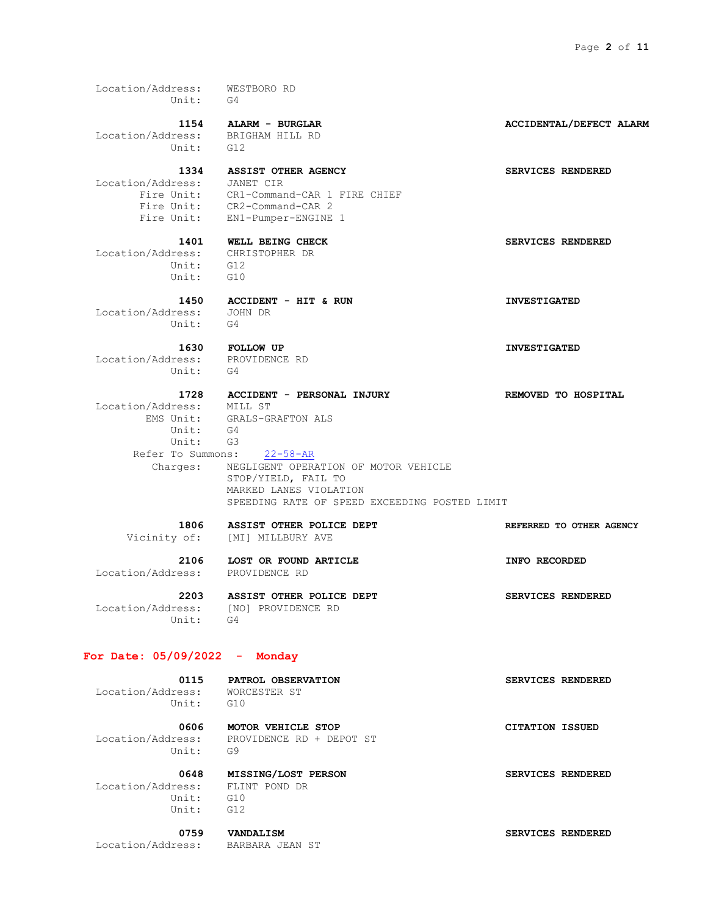Location/Address: WESTBORO RD Unit: G4  **1154 ALARM - BURGLAR ACCIDENTAL/DEFECT ALARM** Location/Address: BRIGHAM HILL RD Unit: G12 1334 **ASSIST OTHER AGENCY SERVICES RENDERED**  Location/Address: JANET CIR Fire Unit: CR1-Command-CAR 1 FIRE CHIEF Fire Unit: CR2-Command-CAR 2 Fire Unit: EN1-Pumper-ENGINE 1

 **1401 WELL BEING CHECK SERVICES RENDERED** Location/Address: CHRISTOPHER DR Unit: G12 Unit: G10

 **1450 ACCIDENT - HIT & RUN INVESTIGATED** Location/Address: JOHN DR Unit: G4

 **1630 FOLLOW UP INVESTIGATED** Location/Address: PROVIDENCE RD Unit: G4

 **1728 ACCIDENT - PERSONAL INJURY REMOVED TO HOSPITAL**

 Location/Address: MILL ST EMS Unit: GRALS-GRAFTON ALS Unit: G4 Unit: G3

 Refer To Summons: 22-58-AR Charges: NEGLIGENT OPERATION OF MOTOR VEHICLE STOP/YIELD, FAIL TO MARKED LANES VIOLATION SPEEDING RATE OF SPEED EXCEEDING POSTED LIMIT

 **1806 ASSIST OTHER POLICE DEPT REFERRED TO OTHER AGENCY**

Vicinity of: [MI] MILLBURY AVE

Location/Address:

**2106 LOST OR FOUND ARTICLE**<br> **INFO RECORDED**<br> **INFO RECORDED** 

Unit: G4

 **2203 ASSIST OTHER POLICE DEPT SERVICES RENDERED** Location/Address: [NO] PROVIDENCE RD

#### **For Date: 05/09/2022 - Monday**

 Location/Address: WORCESTER ST Unit: G10

 **0115 PATROL OBSERVATION SERVICES RENDERED**

0606 **MOTOR VEHICLE STOP CITATION ISSUED**  Location/Address: PROVIDENCE RD + DEPOT ST Unit: G9

 Location/Address: FLINT POND DR Unit: G10

Unit: G12

Location/Address: BARBARA JEAN ST

 **0648 MISSING/LOST PERSON SERVICES RENDERED**

 **0759 VANDALISM SERVICES RENDERED**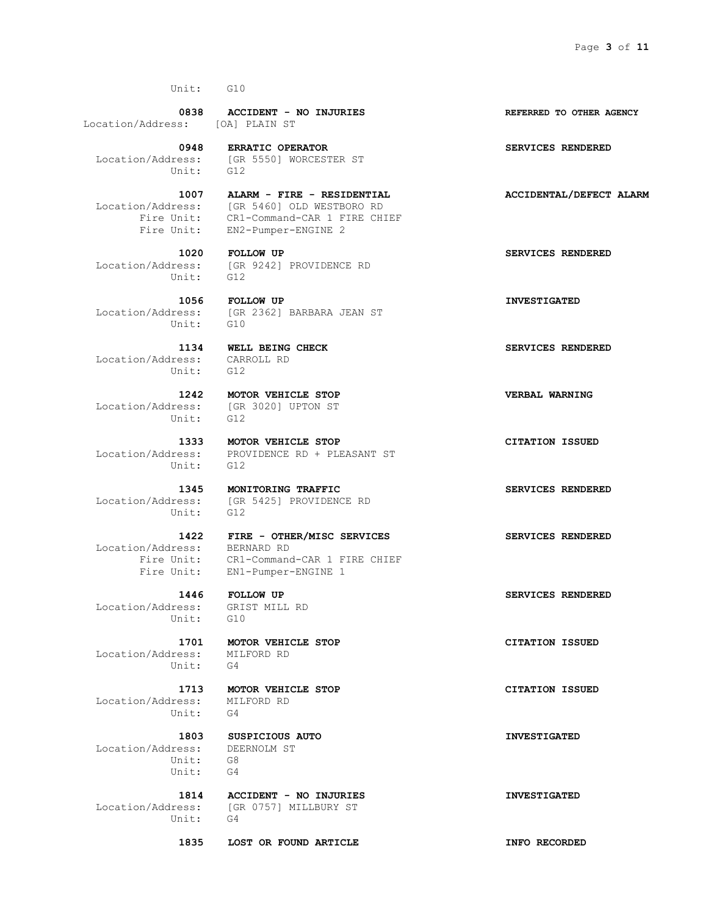Location/Address: [OA] PLAIN ST

 Location/Address: [GR 5550] WORCESTER ST Unit: G12

 Location/Address: [GR 5460] OLD WESTBORO RD Fire Unit: CR1-Command-CAR 1 FIRE CHIEF Fire Unit: EN2-Pumper-ENGINE 2

 **1020 FOLLOW UP SERVICES RENDERED**

 Location/Address: [GR 9242] PROVIDENCE RD Unit: G12

 **1056 FOLLOW UP INVESTIGATED** Location/Address: [GR 2362] BARBARA JEAN ST Unit: G10

 Location/Address: CARROLL RD Unit: G12

 Location/Address: [GR 3020] UPTON ST Unit: G12

Location/Address: PROVIDENCE RD + PLEASANT ST Unit: G12

 Location/Address: [GR 5425] PROVIDENCE RD Unit: G12

 Location/Address: BERNARD RD Fire Unit: CR1-Command-CAR 1 FIRE CHIEF Fire Unit: EN1-Pumper-ENGINE 1

 Location/Address: GRIST MILL RD Unit: G10

 Location/Address: MILFORD RD Unit: G4

 Location/Address: MILFORD RD Unit: G4

 Location/Address: DEERNOLM ST Unit: G8 Unit: G4

Unit: G4

 **1814 ACCIDENT - NO INJURIES INVESTIGATED** Location/Address: [GR 0757] MILLBURY ST

 **1835 LOST OR FOUND ARTICLE INFO RECORDED**

 **0838 ACCIDENT - NO INJURIES REFERRED TO OTHER AGENCY**

 **0948 ERRATIC OPERATOR SERVICES RENDERED**

 **1007 ALARM - FIRE - RESIDENTIAL ACCIDENTAL/DEFECT ALARM**

 **1134 WELL BEING CHECK SERVICES RENDERED**

 **1242 MOTOR VEHICLE STOP VERBAL WARNING**

 **1333 MOTOR VEHICLE STOP CITATION ISSUED**

 **1345 MONITORING TRAFFIC SERVICES RENDERED**

 **1422 FIRE - OTHER/MISC SERVICES SERVICES RENDERED**

 **1446 FOLLOW UP SERVICES RENDERED**

 **1701 MOTOR VEHICLE STOP CITATION ISSUED**

 **1713 MOTOR VEHICLE STOP CITATION ISSUED**

 **1803 SUSPICIOUS AUTO INVESTIGATED**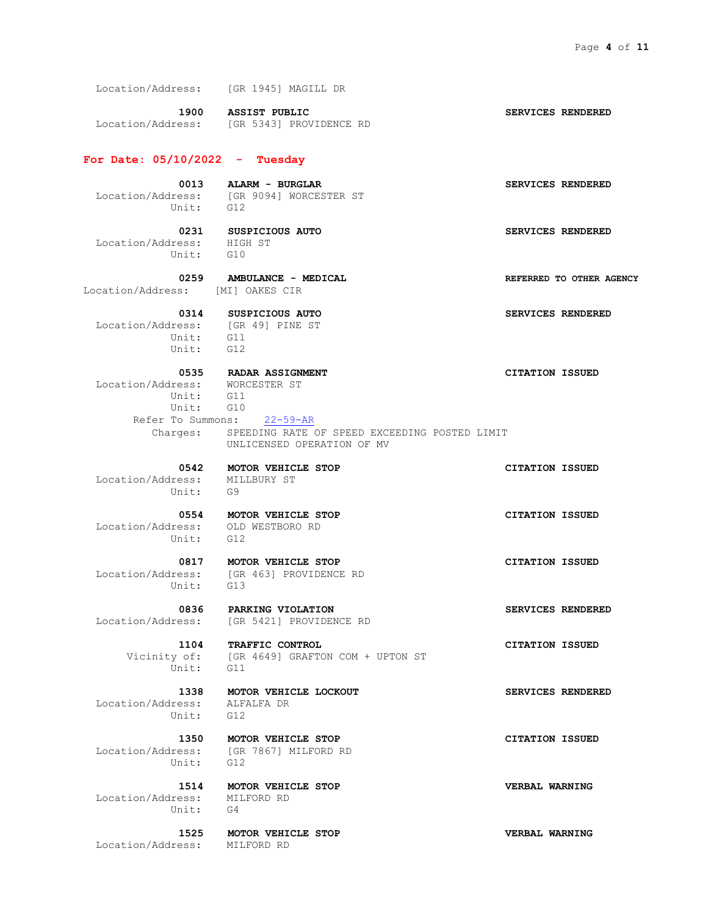Location/Address: [GR 1945] MAGILL DR

 **1900 ASSIST PUBLIC SERVICES RENDERED** Location/Address: [GR 5343] PROVIDENCE RD

#### **For Date: 05/10/2022 - Tuesday**

 **0013 ALARM - BURGLAR SERVICES RENDERED** Location/Address: [GR 9094] WORCESTER ST Unit: G12

 **0231 SUSPICIOUS AUTO SERVICES RENDERED** Location/Address: HIGH ST Unit: G10

 **0259 AMBULANCE - MEDICAL REFERRED TO OTHER AGENCY** Location/Address: [MI] OAKES CIR

 **0314 SUSPICIOUS AUTO SERVICES RENDERED** Location/Address: [GR 49] PINE ST Unit: G11 Unit: G12

#### **0535 RADAR ASSIGNMENT CITATION ISSUED**

 Location/Address: WORCESTER ST Unit: G11 Unit: G10 Refer To Summons: 22-59-AR Charges: SPEEDING RATE OF SPEED EXCEEDING POSTED LIMIT UNLICENSED OPERATION OF MV

 **0542 MOTOR VEHICLE STOP CITATION ISSUED** Location/Address: MILLBURY ST Unit: G9

 **0554 MOTOR VEHICLE STOP CITATION ISSUED** Location/Address: OLD WESTBORO RD Unit: G12

 **0817 MOTOR VEHICLE STOP CITATION ISSUED** Location/Address: [GR 463] PROVIDENCE RD

 Unit: G13  **0836 PARKING VIOLATION SERVICES RENDERED**

Location/Address: [GR 5421] PROVIDENCE RD

 **1104 TRAFFIC CONTROL CITATION ISSUED** Unit: G11

Vicinity of: [GR 4649] GRAFTON COM + UPTON ST

 Location/Address: ALFALFA DR Unit: G12

**1338 MOTOR VEHICLE LOCKOUT SERVICES RENDERED** 

 **1350 MOTOR VEHICLE STOP CITATION ISSUED** Location/Address: [GR 7867] MILFORD RD Unit: G12

 **1514 MOTOR VEHICLE STOP VERBAL WARNING** Location/Address: MILFORD RD Unit: G4

Location/Address: MILFORD RD

 **1525 MOTOR VEHICLE STOP VERBAL WARNING**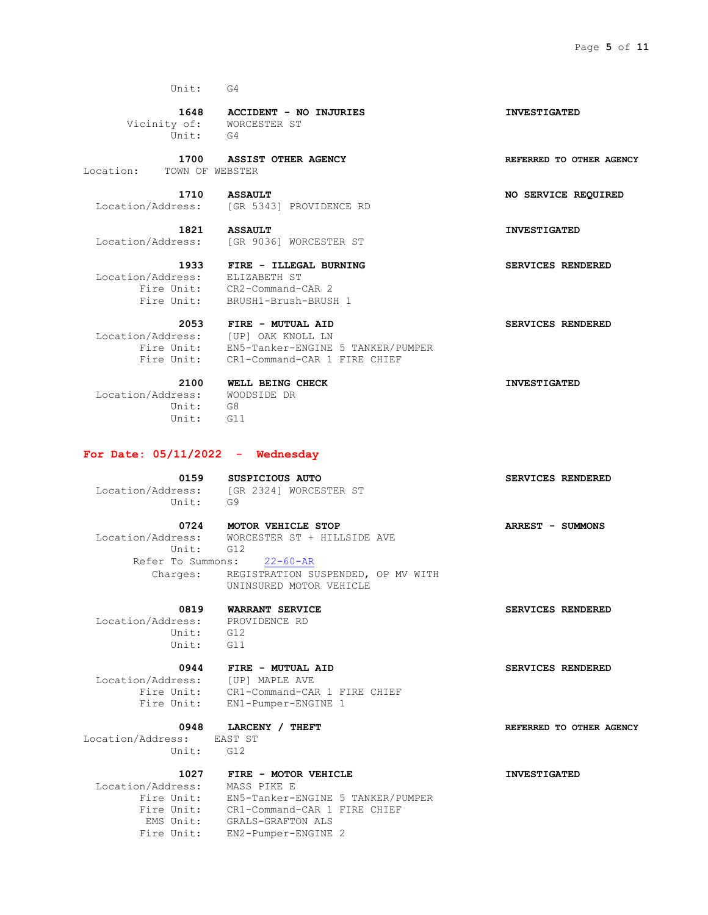**1648 ACCIDENT - NO INJURIES INVESTIGATED** Vicinity of: WORCESTER ST

Unit: G4

- **1700 ASSIST OTHER AGENCY REFERRED TO OTHER AGENCY** Location: TOWN OF WEBSTER
	- **1710 ASSAULT NO SERVICE REQUIRED**
	- Location/Address: [GR 5343] PROVIDENCE RD
	- **1821 ASSAULT INVESTIGATED** Location/Address: [GR 9036] WORCESTER ST
	- Location/Address: ELIZABETH ST

 **1933 FIRE - ILLEGAL BURNING SERVICES RENDERED** Fire Unit: CR2-Command-CAR 2 Fire Unit: BRUSH1-Brush-BRUSH 1

Location/Address: [UP] OAK KNOLL LN

 **2053 FIRE - MUTUAL AID SERVICES RENDERED** Fire Unit: EN5-Tanker-ENGINE 5 TANKER/PUMPER Fire Unit: CR1-Command-CAR 1 FIRE CHIEF

 **2100 WELL BEING CHECK INVESTIGATED** Location/Address: WOODSIDE DR Unit: G8 Unit: G11

#### **For Date: 05/11/2022 - Wednesday**

 **0159 SUSPICIOUS AUTO SERVICES RENDERED** Location/Address: [GR 2324] WORCESTER ST Unit: G9

 **0724 MOTOR VEHICLE STOP ARREST - SUMMONS** Location/Address: WORCESTER ST + HILLSIDE AVE Unit: G12 Refer To Summons: 22-60-AR Charges: REGISTRATION SUSPENDED, OP MV WITH UNINSURED MOTOR VEHICLE

Location/Address: Unit: G12

 **0819 WARRANT SERVICE SERVICES RENDERED**<br>
SERVICES RENDERER RD

Unit: G11

#### **0944 FIRE - MUTUAL AID SERVICES RENDERED**

Location/Address: [UP] MAPLE AVE

 Fire Unit: CR1-Command-CAR 1 FIRE CHIEF Fire Unit: EN1-Pumper-ENGINE 1

#### **0948 LARCENY / THEFT REFERRED TO OTHER AGENCY**

Location/Address: EAST ST Unit: G12

 **1027 FIRE - MOTOR VEHICLE INVESTIGATED** Location/Address: MASS PIKE E Fire Unit: EN5-Tanker-ENGINE 5 TANKER/PUMPER Fire Unit: CR1-Command-CAR 1 FIRE CHIEF EMS Unit: GRALS-GRAFTON ALS Fire Unit: EN2-Pumper-ENGINE 2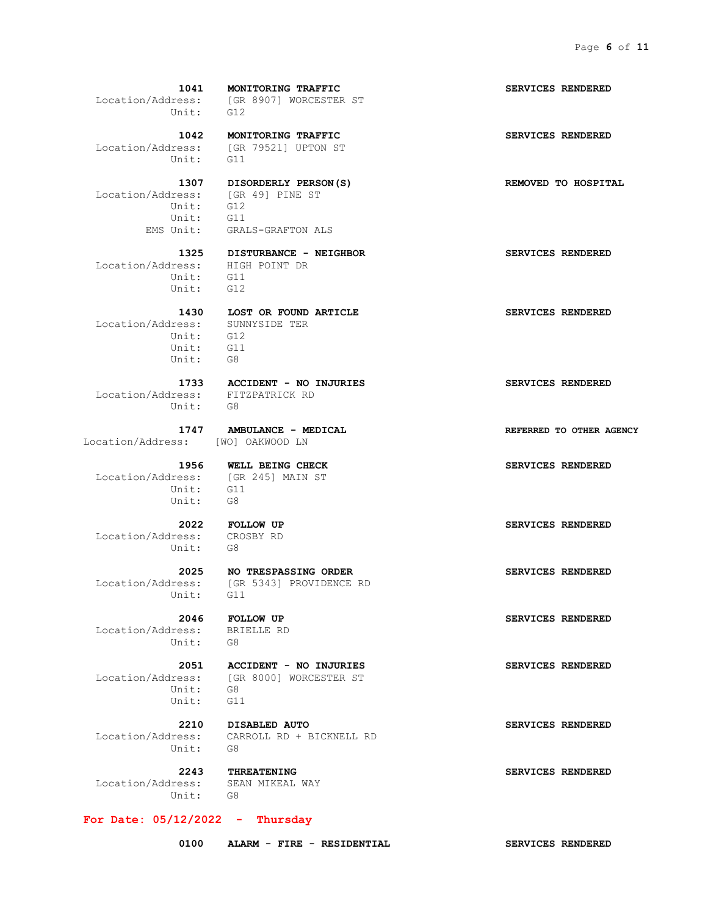**1041 MONITORING TRAFFIC SERVICES RENDERED** Location/Address: [GR 8907] WORCESTER ST Unit: G12

 Location/Address: [GR 79521] UPTON ST Unit: G11

 Location/Address: [GR 49] PINE ST Unit: G12 Unit: G11 EMS Unit: GRALS-GRAFTON ALS

 Location/Address: HIGH POINT DR Unit: G11 Unit: G12

 Location/Address: SUNNYSIDE TER Unit: Unit: G11 Unit: G8

 Location/Address: FITZPATRICK RD Unit: G8

Location/Address: [WO] OAKWOOD LN

 Location/Address: [GR 245] MAIN ST Unit: G11 Unit: G8

 Location/Address: CROSBY RD Unit: G8

Unit: G11

 Location/Address: BRIELLE RD Unit: G8

Unit: G8

 Unit: G11  **2210 DISABLED AUTO SERVICES RENDERED**

 Location/Address: CARROLL RD + BICKNELL RD Unit: G8

 **2243 THREATENING SERVICES RENDERED** Location/Address: SEAN MIKEAL WAY

Unit: G8

#### **For Date: 05/12/2022 - Thursday**

 **0100 ALARM - FIRE - RESIDENTIAL SERVICES RENDERED**

 **1042 MONITORING TRAFFIC SERVICES RENDERED 1307 DISORDERLY PERSON(S) REMOVED TO HOSPITAL**

 **1325 DISTURBANCE - NEIGHBOR SERVICES RENDERED**

 **1733 ACCIDENT - NO INJURIES SERVICES RENDERED**

Location/Address: [GR 5343] PROVIDENCE RD

 **2051 ACCIDENT - NO INJURIES SERVICES RENDERED** Location/Address: [GR 8000] WORCESTER ST

 **1747 AMBULANCE - MEDICAL REFERRED TO OTHER AGENCY**

 **1956 WELL BEING CHECK SERVICES RENDERED**

 **2022 FOLLOW UP SERVICES RENDERED**

 **2025 NO TRESPASSING ORDER SERVICES RENDERED**

 **2046 FOLLOW UP SERVICES RENDERED**

 **1430 LOST OR FOUND ARTICLE SERVICES RENDERED**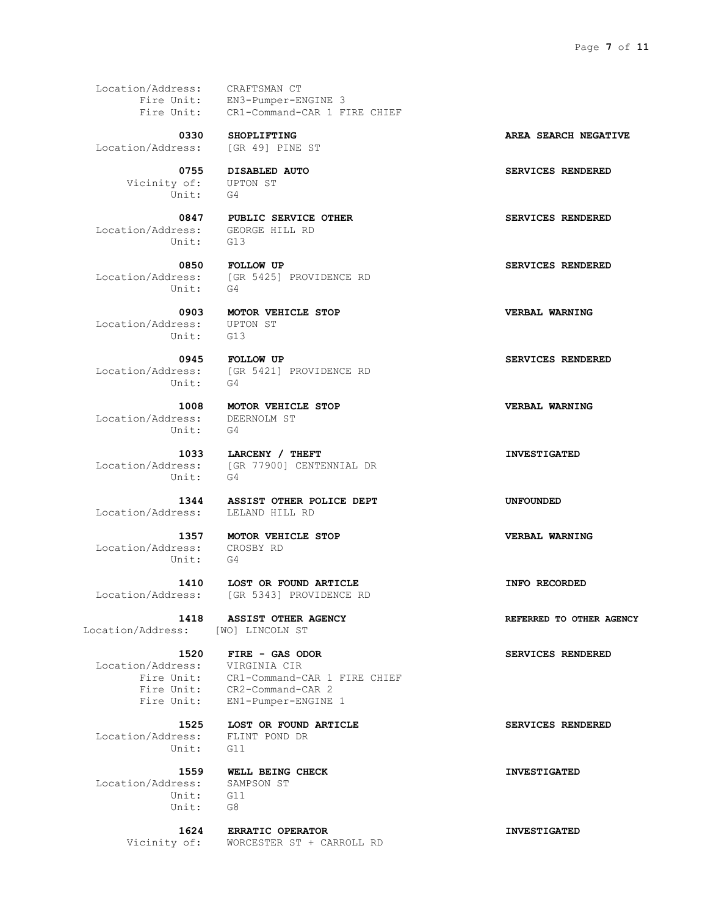Location/Address: CRAFTSMAN CT Fire Unit: EN3-Pumper-ENGINE 3 Fire Unit: CR1-Command-CAR 1 FIRE CHIEF

Location/Address: [GR 49] PINE ST

 Vicinity of: UPTON ST Unit: G4

 Location/Address: GEORGE HILL RD Unit: G13

Unit: G4

Location/Address: UPTON ST<br>Unit: G13 Unit:

Unit: G4

 Location/Address: DEERNOLM ST Unit: G4

Unit: G4

Location/Address: LELAND HILL RD

 Location/Address: CROSBY RD Unit: G4

Location/Address: [WO] LINCOLN ST

Location/Address: VIRGINIA CIR

 Location/Address: FLINT POND DR Unit: G11

 Location/Address: SAMPSON ST Unit: G11 Unit: G8

 **0330 SHOPLIFTING AREA SEARCH NEGATIVE**

 **0847 PUBLIC SERVICE OTHER SERVICES RENDERED**

 **0850 FOLLOW UP SERVICES RENDERED** Location/Address: [GR 5425] PROVIDENCE RD

 **0903 MOTOR VEHICLE STOP VERBAL WARNING**

 **0945 FOLLOW UP SERVICES RENDERED** Location/Address: [GR 5421] PROVIDENCE RD

 **1008 MOTOR VEHICLE STOP VERBAL WARNING**

 **1033 LARCENY / THEFT INVESTIGATED** Location/Address: [GR 77900] CENTENNIAL DR

 **1344 ASSIST OTHER POLICE DEPT UNFOUNDED**

 **1357 MOTOR VEHICLE STOP VERBAL WARNING**

 **1410 LOST OR FOUND ARTICLE INFO RECORDED** Location/Address: [GR 5343] PROVIDENCE RD

1418 **ASSIST OTHER AGENCY REFERRED TO OTHER AGENCY** 

 **1520 FIRE - GAS ODOR SERVICES RENDERED** Fire Unit: CR1-Command-CAR 1 FIRE CHIEF Fire Unit: CR2-Command-CAR 2 Fire Unit: EN1-Pumper-ENGINE 1

 **1525 LOST OR FOUND ARTICLE SERVICES RENDERED**

 **1559 WELL BEING CHECK INVESTIGATED**

 **1624 ERRATIC OPERATOR INVESTIGATED** Vicinity of: WORCESTER ST + CARROLL RD

 **0755 DISABLED AUTO SERVICES RENDERED**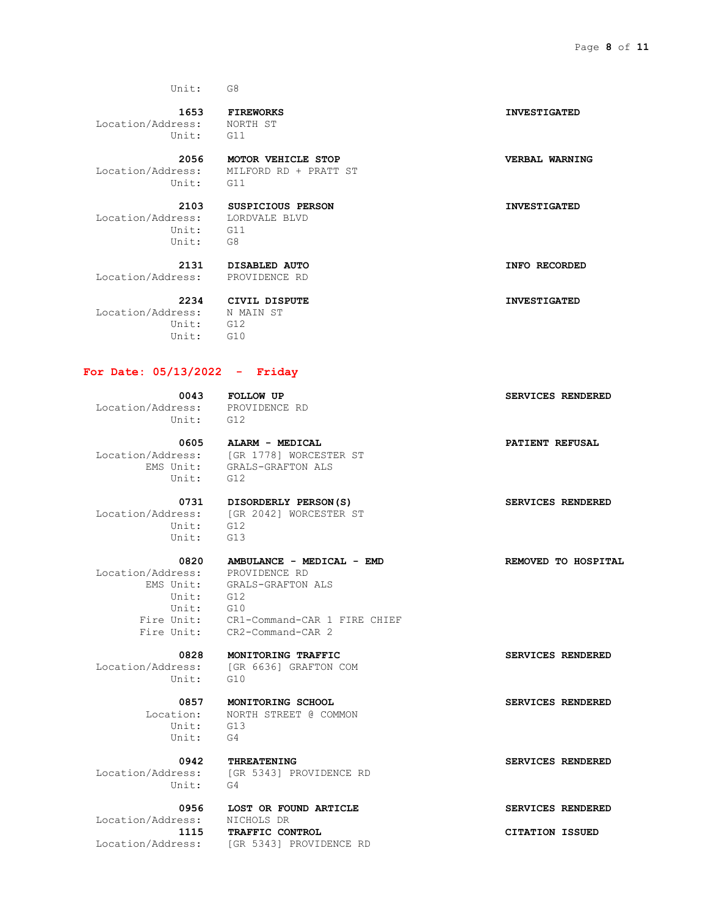**1653 FIREWORKS INVESTIGATED** Location/Address: NORTH ST Unit: G11

 **2056 MOTOR VEHICLE STOP VERBAL WARNING** Location/Address: MILFORD RD + PRATT ST Unit: G11

 Location/Address: LORDVALE BLVD Unit: G11 Unit: G8

 **2131 DISABLED AUTO INFO RECORDED** Location/Address: PROVIDENCE RD

 Location/Address: N MAIN ST Unit: G12 Unit: G10

#### **For Date: 05/13/2022 - Friday**

 **0043 FOLLOW UP SERVICES RENDERED** Location/Address: PROVIDENCE RD Unit: G12

 EMS Unit: GRALS-GRAFTON ALS Unit: G12

0605 **ALARM - MEDICAL PATIENT REFUSAL** Location/Address: [GR 1778] WORCESTER ST

 Unit: G12 Unit: G13

 Location/Address: PROVIDENCE RD Unit: G12 Unit: G10

Unit: G10

Unit: G13 Unit: G4

Unit: G4

Location/Address: NICHOLS DR

0731 **DISORDERLY PERSON(S) SERVICES RENDERED** Location/Address: [GR 2042] WORCESTER ST

### **0820 AMBULANCE - MEDICAL - EMD REMOVED TO HOSPITAL**

 EMS Unit: GRALS-GRAFTON ALS Fire Unit: CR1-Command-CAR 1 FIRE CHIEF Fire Unit: CR2-Command-CAR 2

Location/Address: [GR 6636] GRAFTON COM

0857 **MONITORING SCHOOL SERVICES RENDERED** Location: NORTH STREET @ COMMON

Location/Address: [GR 5343] PROVIDENCE RD

0956 LOST OR FOUND ARTICLE **SERVICES** RENDERED  **1115 TRAFFIC CONTROL CITATION ISSUED** Location/Address: [GR 5343] PROVIDENCE RD

 **2103 SUSPICIOUS PERSON INVESTIGATED**

 **2234 CIVIL DISPUTE INVESTIGATED**

 **0828 MONITORING TRAFFIC SERVICES RENDERED**

 **0942 THREATENING SERVICES RENDERED**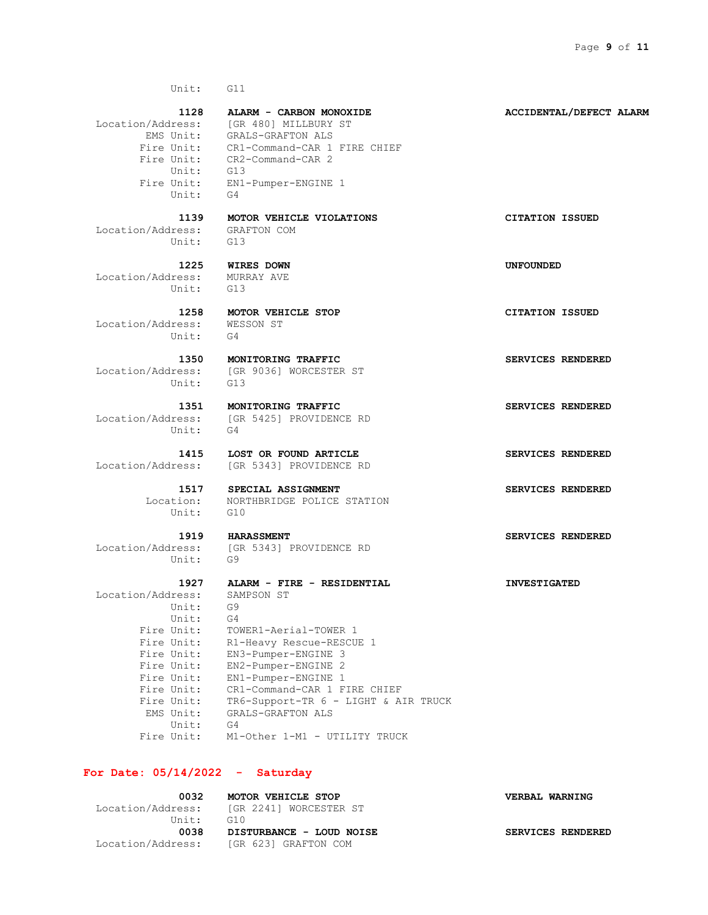Unit: G13 Unit: G4

 Location/Address: GRAFTON COM Unit: G13

 Location/Address: MURRAY AVE Unit: G13

Location/Address: WESSON ST<br>Unit: G4 Unit:

Unit: G13

Unit: G4

Unit: G10

Unit: G9

 **1919 HARASSMENT SERVICES RENDERED** Location/Address: [GR 5343] PROVIDENCE RD

 Location/Address: SAMPSON ST Unit: G9 Unit: G4 Fire Unit: EN2-Pumper-ENGINE 2 Fire Unit: EN1-Pumper-ENGINE 1 EMS Unit: GRALS-GRAFTON ALS Unit: G4<br>Unit: G4

#### **For Date: 05/14/2022 - Saturday**

 **0032 MOTOR VEHICLE STOP VERBAL WARNING** Location/Address: [GR 2241] WORCESTER ST Unit: G10  **0038 DISTURBANCE - LOUD NOISE SERVICES RENDERED** Location/Address: [GR 623] GRAFTON COM

 **1128 ALARM - CARBON MONOXIDE ACCIDENTAL/DEFECT ALARM** Location/Address: [GR 480] MILLBURY ST EMS Unit: GRALS-GRAFTON ALS Fire Unit: CR1-Command-CAR 1 FIRE CHIEF Fire Unit: CR2-Command-CAR 2 Fire Unit: EN1-Pumper-ENGINE 1

 **1139 MOTOR VEHICLE VIOLATIONS CITATION ISSUED**

# **1225 WIRES DOWN UNFOUNDED**

 **1258 MOTOR VEHICLE STOP CITATION ISSUED**

 **1350 MONITORING TRAFFIC SERVICES RENDERED** Location/Address: [GR 9036] WORCESTER ST

 **1351 MONITORING TRAFFIC SERVICES RENDERED** Location/Address: [GR 5425] PROVIDENCE RD

 **1415 LOST OR FOUND ARTICLE SERVICES RENDERED** Location/Address: [GR 5343] PROVIDENCE RD

 **1517 SPECIAL ASSIGNMENT SERVICES RENDERED** Location: NORTHBRIDGE POLICE STATION

 **1927 ALARM - FIRE - RESIDENTIAL INVESTIGATED**

# Fire Unit: TOWER1-Aerial-TOWER 1 Fire Unit: R1-Heavy Rescue-RESCUE 1 Fire Unit: EN3-Pumper-ENGINE 3 Fire Unit: CR1-Command-CAR 1 FIRE CHIEF Fire Unit: TR6-Support-TR 6 - LIGHT & AIR TRUCK Fire Unit: M1-Other 1-M1 - UTILITY TRUCK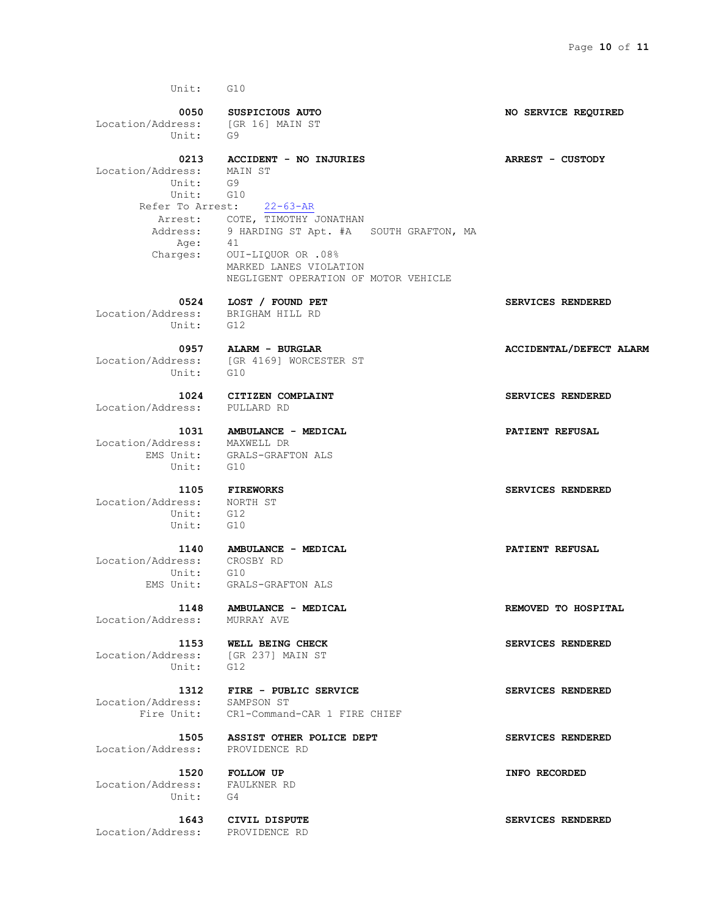Unit: G10  **0050 SUSPICIOUS AUTO NO SERVICE REQUIRED** Location/Address: [GR 16] MAIN ST Unit: G9  **0213 ACCIDENT - NO INJURIES ARREST - CUSTODY** Location/Address: MAIN ST Unit:  $G9$  Unit: G10 Refer To Arrest: 22-63-AR Arrest: COTE, TIMOTHY JONATHAN Address: 9 HARDING ST Apt. #A SOUTH GRAFTON, MA Age: 41 Charges: OUI-LIQUOR OR .08% MARKED LANES VIOLATION NEGLIGENT OPERATION OF MOTOR VEHICLE  **0524 LOST / FOUND PET SERVICES RENDERED** Location/Address: BRIGHAM HILL RD Unit: G12 0957 **ALARM** - **BURGLAR ACCIDENTAL/DEFECT ALARM**  Location/Address: [GR 4169] WORCESTER ST Unit: G10  **1024 CITIZEN COMPLAINT SERVICES RENDERED** Location/Address: PULLARD RD  **1031 AMBULANCE - MEDICAL PATIENT REFUSAL** Location/Address: MAXWELL DR EMS Unit: GRALS-GRAFTON ALS Unit: G10  **1105 FIREWORKS SERVICES RENDERED** Location/Address: NORTH ST Unit: G12 Unit: G10  **1140 AMBULANCE - MEDICAL PATIENT REFUSAL** Location/Address: CROSBY RD Unit: G10<br>EMS Unit: GRAT GRALS-GRAFTON ALS  **1148 AMBULANCE - MEDICAL REMOVED TO HOSPITAL** Location/Address: MURRAY AVE  **1153 WELL BEING CHECK SERVICES RENDERED** Location/Address: [GR 237] MAIN ST Unit: G12  **1312 FIRE - PUBLIC SERVICE SERVICES RENDERED** Location/Address: SAMPSON ST Fire Unit: CR1-Command-CAR 1 FIRE CHIEF  **1505 ASSIST OTHER POLICE DEPT SERVICES RENDERED** Location/Address: PROVIDENCE RD  **1520 FOLLOW UP INFO RECORDED** Location/Address: FAULKNER RD Unit: G4  **1643 CIVIL DISPUTE SERVICES RENDERED** Location/Address: PROVIDENCE RD